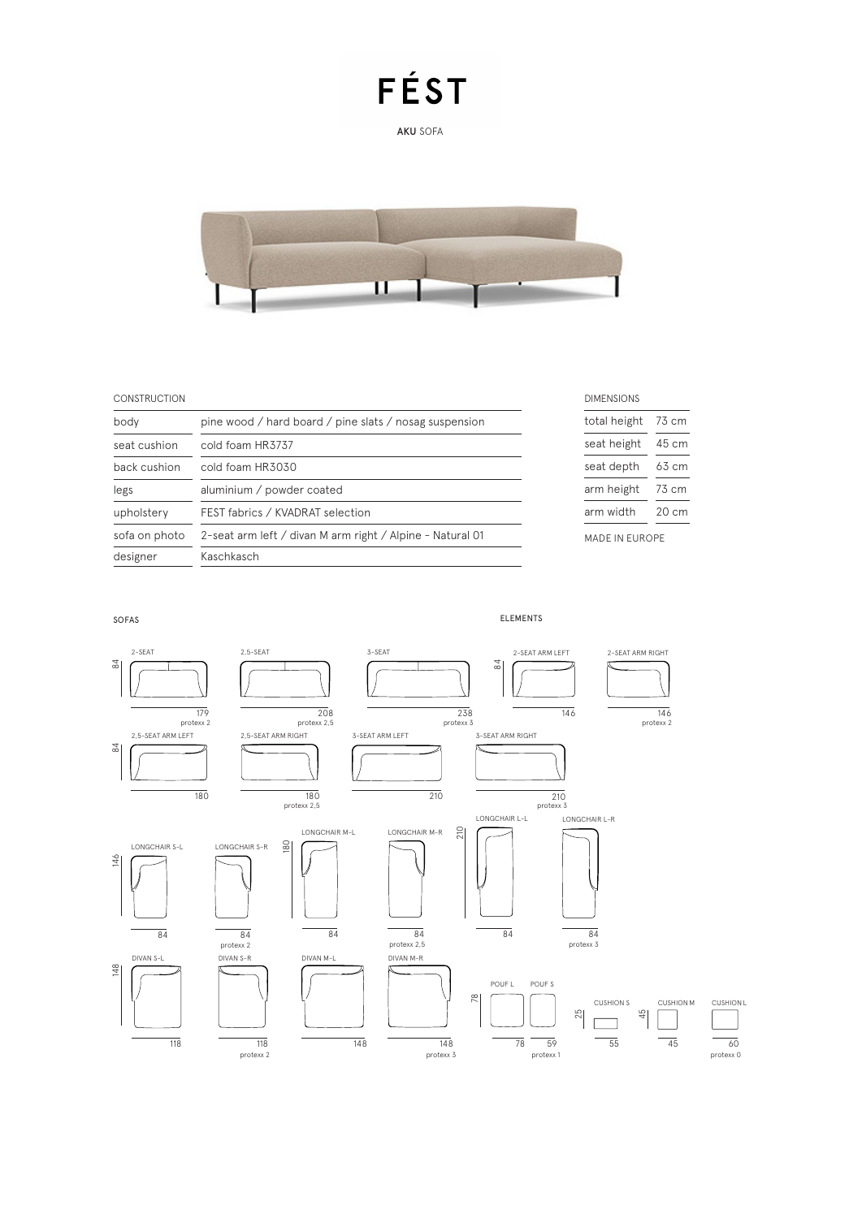AKU SOFA



#### CONSTRUCTION

| body          | pine wood / hard board / pine slats / nosag suspension    |  |  |  |  |
|---------------|-----------------------------------------------------------|--|--|--|--|
| seat cushion  | cold foam HR3737                                          |  |  |  |  |
| back cushion  | cold foam HR3030                                          |  |  |  |  |
| legs          | aluminium / powder coated                                 |  |  |  |  |
| upholstery    | FEST fabrics / KVADRAT selection                          |  |  |  |  |
| sofa on photo | 2-seat arm left / divan M arm right / Alpine - Natural 01 |  |  |  |  |
| designer      | Kaschkasch                                                |  |  |  |  |
|               |                                                           |  |  |  |  |

| <b>DIMENSIONS</b> |                 |  |  |  |
|-------------------|-----------------|--|--|--|
| total height      | 73 cm           |  |  |  |
| seat height       | 45 cm           |  |  |  |
| seat depth        | 63 cm           |  |  |  |
| arm height        | 73 cm           |  |  |  |
| arm width         | $20 \text{ cm}$ |  |  |  |
| MADE IN FUROPE    |                 |  |  |  |



SOFAS ELEMENTS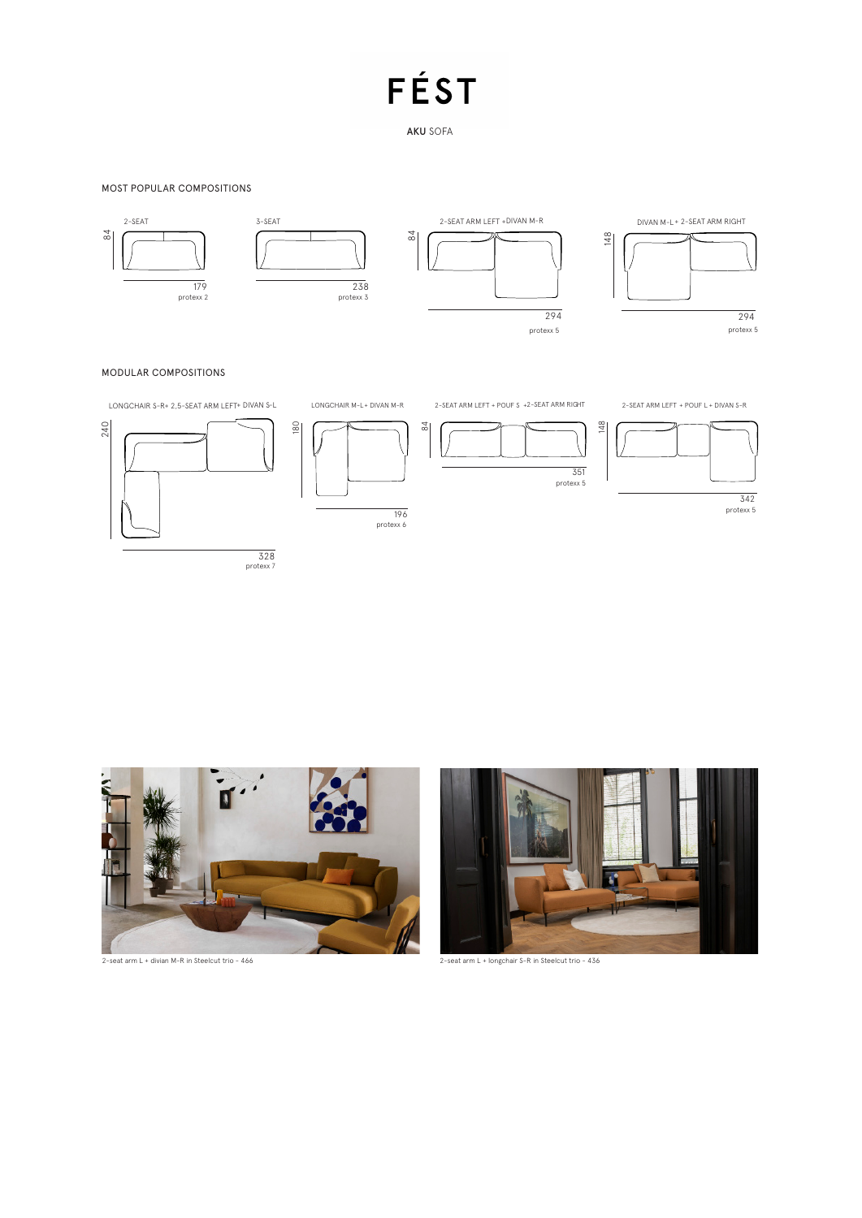AKU SOFA

MOST POPULAR COMPOSITIONS







2-seat arm L + divian M-R in Steelcut trio - 466 2-seat arm L + longchair S-R in Steelcut trio - 436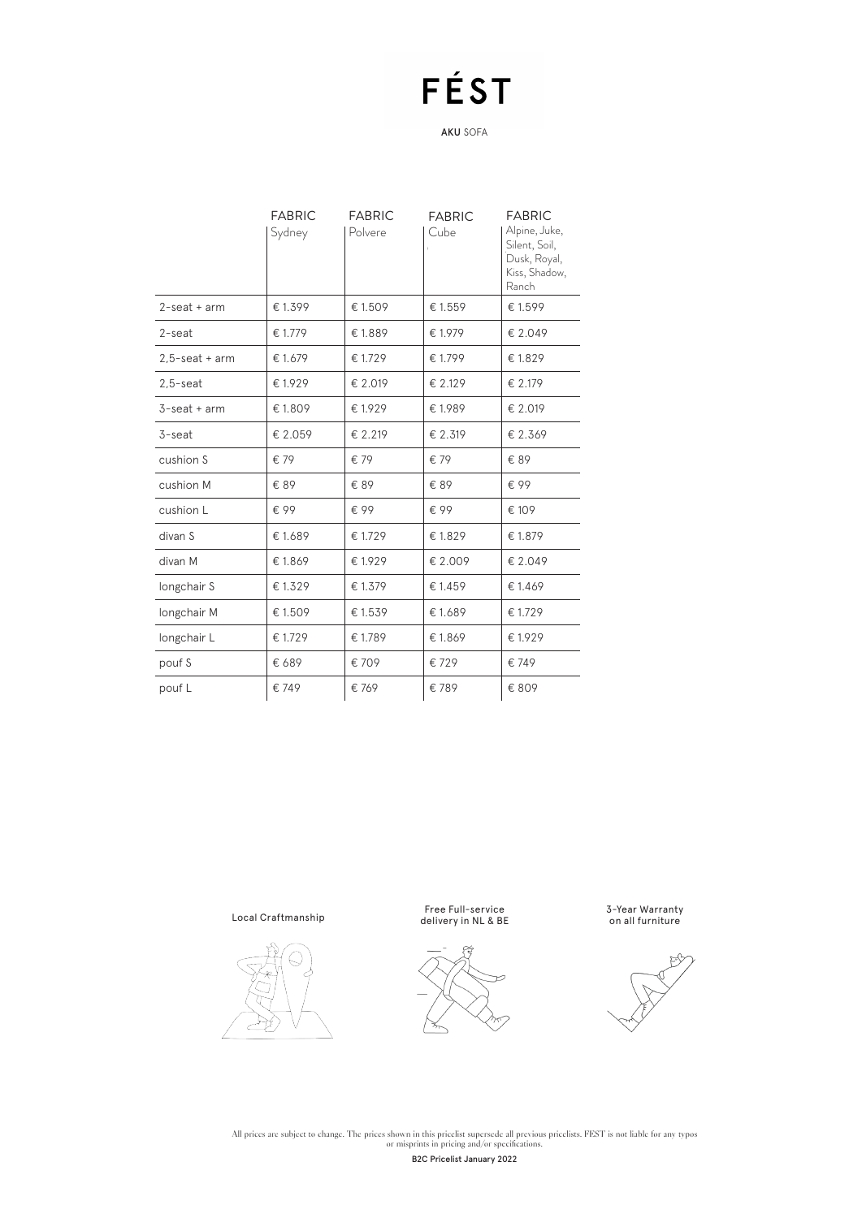AKU SOFA

|                   | <b>FABRIC</b><br>Sydney | <b>FABRIC</b><br>Polvere | <b>FABRIC</b><br>Cube | <b>FABRIC</b><br>Alpine, Juke,<br>Silent, Soil,<br>Dusk, Royal,<br>Kiss, Shadow,<br>Ranch |
|-------------------|-------------------------|--------------------------|-----------------------|-------------------------------------------------------------------------------------------|
| $2$ -seat + arm   | € 1.399                 | € 1.509                  | € 1.559               | € 1.599                                                                                   |
| 2-seat            | € 1.779                 | € 1.889                  | € 1.979               | € 2.049                                                                                   |
| $2.5$ -seat + arm | € 1.679                 | € 1.729                  | € 1.799               | € 1.829                                                                                   |
| $2.5$ -seat       | €1.929                  | € 2.019                  | € 2.129               | € 2.179                                                                                   |
| $3$ -seat + arm   | € 1.809                 | € 1.929                  | € 1.989               | € 2.019                                                                                   |
| $3$ -seat         | € 2.059                 | € 2.219                  | € 2.319               | € 2.369                                                                                   |
| cushion S         | € 79                    | €79                      | € 79                  | €89                                                                                       |
| cushion M         | € 89                    | €89                      | € 89                  | € 99                                                                                      |
| cushion L         | € 99                    | € 99                     | € 99                  | € 109                                                                                     |
| divan S           | €1.689                  | € 1.729                  | € 1.829               | € 1.879                                                                                   |
| divan M           | €1.869                  | €1.929                   | € 2.009               | € 2.049                                                                                   |
| longchair S       | €1.329                  | € 1.379                  | € 1.459               | € 1.469                                                                                   |
| longchair M       | € 1.509                 | € 1.539                  | €1.689                | € 1.729                                                                                   |
| longchair L       | € 1.729                 | € 1.789                  | €1.869                | € 1.929                                                                                   |
| pouf S            | € 689                   | € 709                    | €729                  | €749                                                                                      |
| pouf L            | €749                    | € 769                    | €789                  | € 809                                                                                     |

Local Craftmanship







3-Year Warranty on all furniture



All prices are subject to change. The prices shown in this pricelist supersede all previous pricelists. FEST is not liable for any typos<br>or misprints in pricing and/or specifications.

B2C Pricelist January 2022